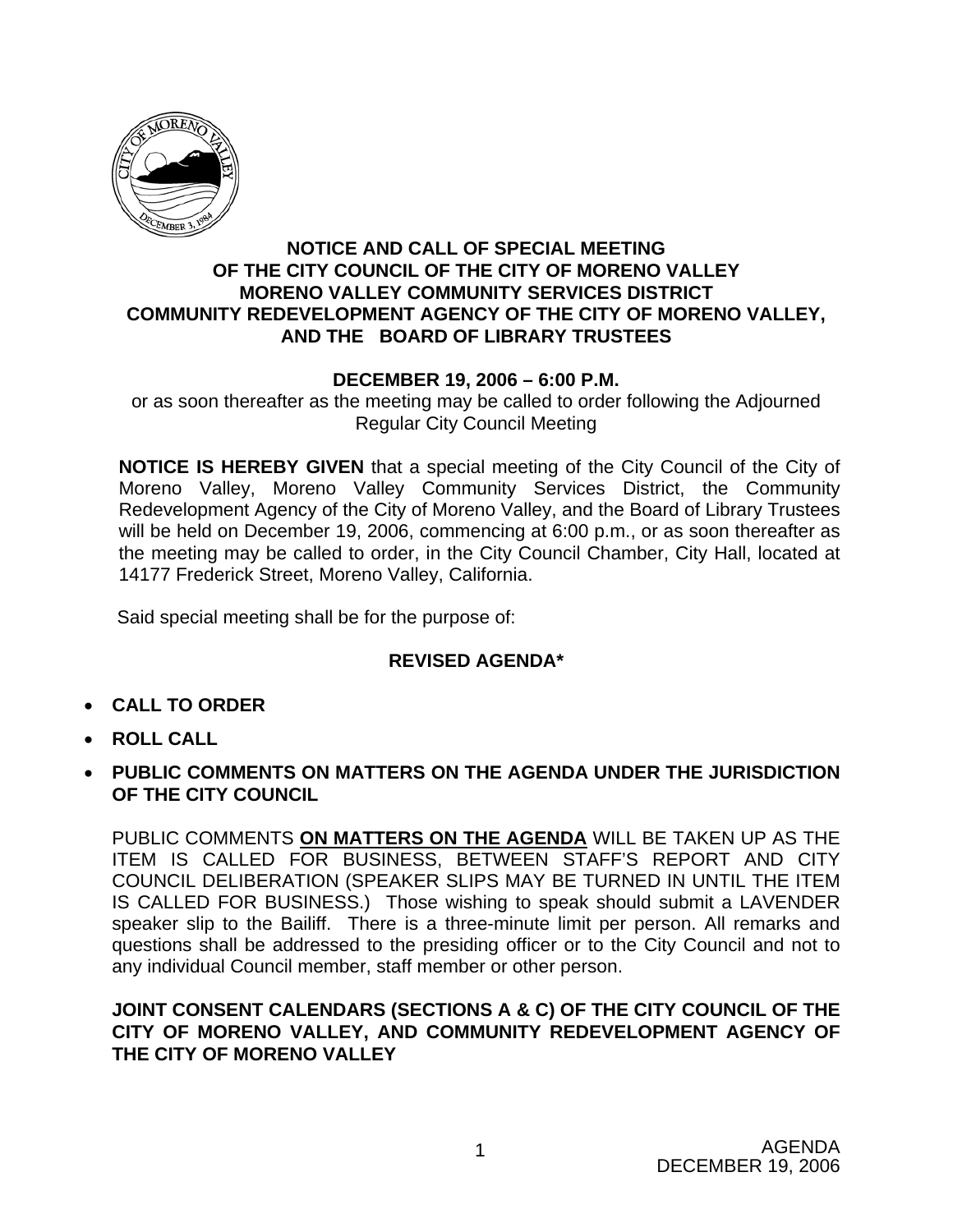

### **NOTICE AND CALL OF SPECIAL MEETING OF THE CITY COUNCIL OF THE CITY OF MORENO VALLEY MORENO VALLEY COMMUNITY SERVICES DISTRICT COMMUNITY REDEVELOPMENT AGENCY OF THE CITY OF MORENO VALLEY, AND THE BOARD OF LIBRARY TRUSTEES**

## **DECEMBER 19, 2006 – 6:00 P.M.**

or as soon thereafter as the meeting may be called to order following the Adjourned Regular City Council Meeting

**NOTICE IS HEREBY GIVEN** that a special meeting of the City Council of the City of Moreno Valley, Moreno Valley Community Services District, the Community Redevelopment Agency of the City of Moreno Valley, and the Board of Library Trustees will be held on December 19, 2006, commencing at 6:00 p.m., or as soon thereafter as the meeting may be called to order, in the City Council Chamber, City Hall, located at 14177 Frederick Street, Moreno Valley, California.

Said special meeting shall be for the purpose of:

## **REVISED AGENDA\***

- **CALL TO ORDER**
- **ROLL CALL**
- **PUBLIC COMMENTS ON MATTERS ON THE AGENDA UNDER THE JURISDICTION OF THE CITY COUNCIL**

PUBLIC COMMENTS **ON MATTERS ON THE AGENDA** WILL BE TAKEN UP AS THE ITEM IS CALLED FOR BUSINESS, BETWEEN STAFF'S REPORT AND CITY COUNCIL DELIBERATION (SPEAKER SLIPS MAY BE TURNED IN UNTIL THE ITEM IS CALLED FOR BUSINESS.) Those wishing to speak should submit a LAVENDER speaker slip to the Bailiff. There is a three-minute limit per person. All remarks and questions shall be addressed to the presiding officer or to the City Council and not to any individual Council member, staff member or other person.

### **JOINT CONSENT CALENDARS (SECTIONS A & C) OF THE CITY COUNCIL OF THE CITY OF MORENO VALLEY, AND COMMUNITY REDEVELOPMENT AGENCY OF THE CITY OF MORENO VALLEY**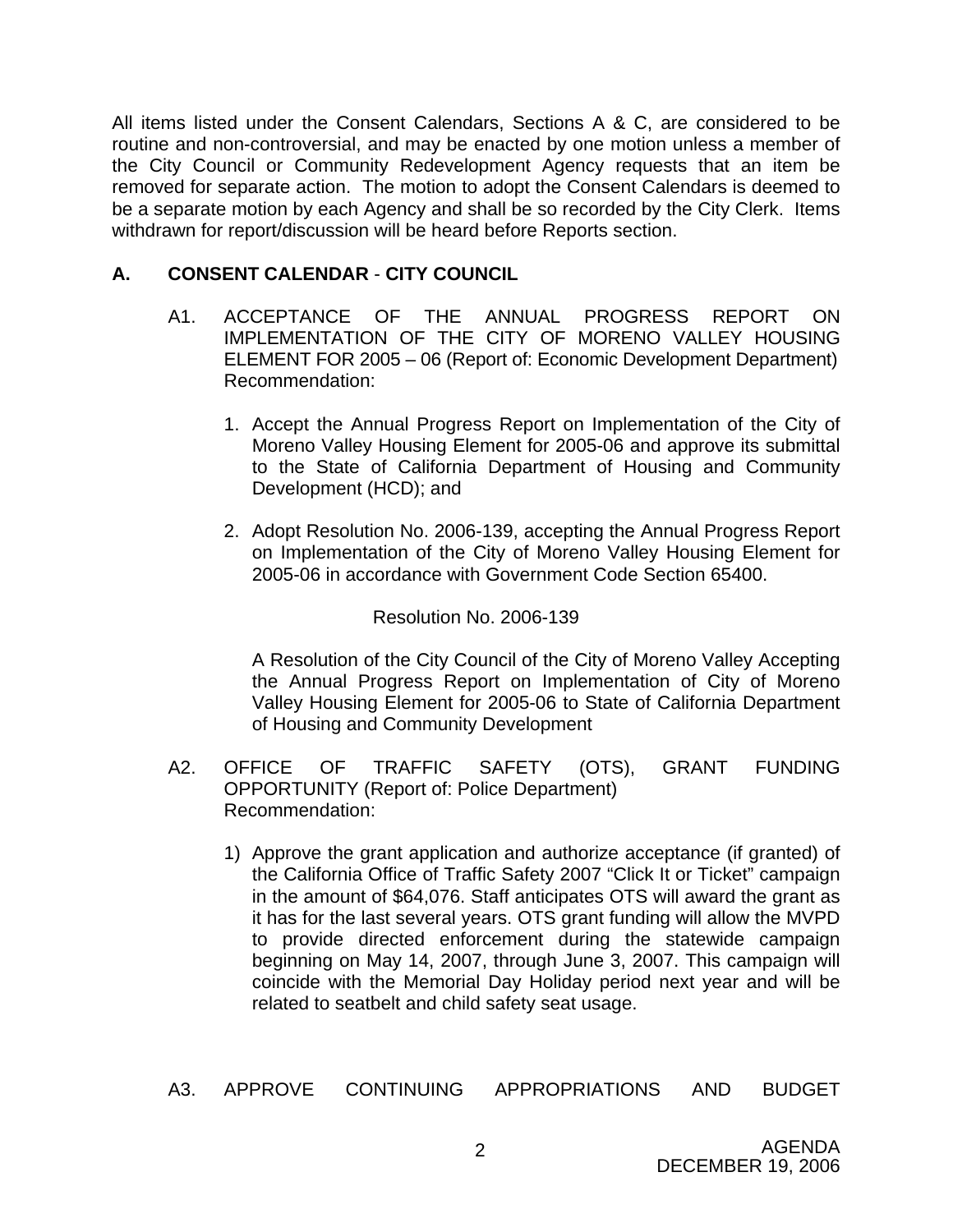All items listed under the Consent Calendars, Sections A & C, are considered to be routine and non-controversial, and may be enacted by one motion unless a member of the City Council or Community Redevelopment Agency requests that an item be removed for separate action. The motion to adopt the Consent Calendars is deemed to be a separate motion by each Agency and shall be so recorded by the City Clerk. Items withdrawn for report/discussion will be heard before Reports section.

# **A. CONSENT CALENDAR** - **CITY COUNCIL**

- A1. ACCEPTANCE OF THE ANNUAL PROGRESS REPORT ON IMPLEMENTATION OF THE CITY OF MORENO VALLEY HOUSING ELEMENT FOR 2005 – 06 (Report of: Economic Development Department) Recommendation:
	- 1. Accept the Annual Progress Report on Implementation of the City of Moreno Valley Housing Element for 2005-06 and approve its submittal to the State of California Department of Housing and Community Development (HCD); and
	- 2. Adopt Resolution No. 2006-139, accepting the Annual Progress Report on Implementation of the City of Moreno Valley Housing Element for 2005-06 in accordance with Government Code Section 65400.

Resolution No. 2006-139

A Resolution of the City Council of the City of Moreno Valley Accepting the Annual Progress Report on Implementation of City of Moreno Valley Housing Element for 2005-06 to State of California Department of Housing and Community Development

- A2. OFFICE OF TRAFFIC SAFETY (OTS), GRANT FUNDING OPPORTUNITY (Report of: Police Department) Recommendation:
	- 1) Approve the grant application and authorize acceptance (if granted) of the California Office of Traffic Safety 2007 "Click It or Ticket" campaign in the amount of \$64,076. Staff anticipates OTS will award the grant as it has for the last several years. OTS grant funding will allow the MVPD to provide directed enforcement during the statewide campaign beginning on May 14, 2007, through June 3, 2007. This campaign will coincide with the Memorial Day Holiday period next year and will be related to seatbelt and child safety seat usage.
- A3. APPROVE CONTINUING APPROPRIATIONS AND BUDGET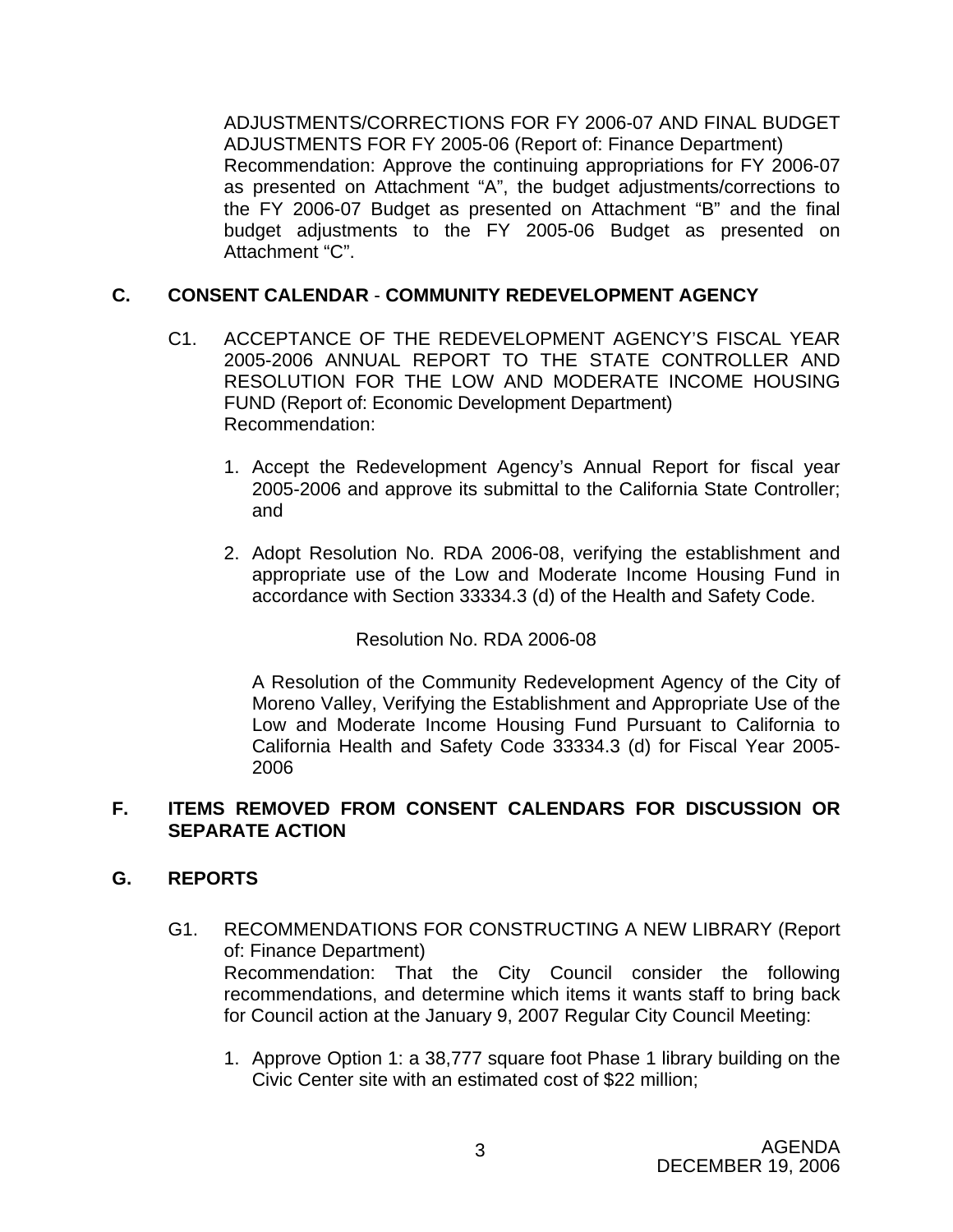ADJUSTMENTS/CORRECTIONS FOR FY 2006-07 AND FINAL BUDGET ADJUSTMENTS FOR FY 2005-06 (Report of: Finance Department) Recommendation: Approve the continuing appropriations for FY 2006-07 as presented on Attachment "A", the budget adjustments/corrections to the FY 2006-07 Budget as presented on Attachment "B" and the final budget adjustments to the FY 2005-06 Budget as presented on Attachment "C".

## **C. CONSENT CALENDAR** - **COMMUNITY REDEVELOPMENT AGENCY**

- C1. ACCEPTANCE OF THE REDEVELOPMENT AGENCY'S FISCAL YEAR 2005-2006 ANNUAL REPORT TO THE STATE CONTROLLER AND RESOLUTION FOR THE LOW AND MODERATE INCOME HOUSING FUND (Report of: Economic Development Department) Recommendation:
	- 1. Accept the Redevelopment Agency's Annual Report for fiscal year 2005-2006 and approve its submittal to the California State Controller; and
	- 2. Adopt Resolution No. RDA 2006-08, verifying the establishment and appropriate use of the Low and Moderate Income Housing Fund in accordance with Section 33334.3 (d) of the Health and Safety Code.

#### Resolution No. RDA 2006-08

A Resolution of the Community Redevelopment Agency of the City of Moreno Valley, Verifying the Establishment and Appropriate Use of the Low and Moderate Income Housing Fund Pursuant to California to California Health and Safety Code 33334.3 (d) for Fiscal Year 2005- 2006

## **F. ITEMS REMOVED FROM CONSENT CALENDARS FOR DISCUSSION OR SEPARATE ACTION**

#### **G. REPORTS**

- G1. RECOMMENDATIONS FOR CONSTRUCTING A NEW LIBRARY (Report of: Finance Department) Recommendation: That the City Council consider the following recommendations, and determine which items it wants staff to bring back for Council action at the January 9, 2007 Regular City Council Meeting:
	- 1. Approve Option 1: a 38,777 square foot Phase 1 library building on the Civic Center site with an estimated cost of \$22 million;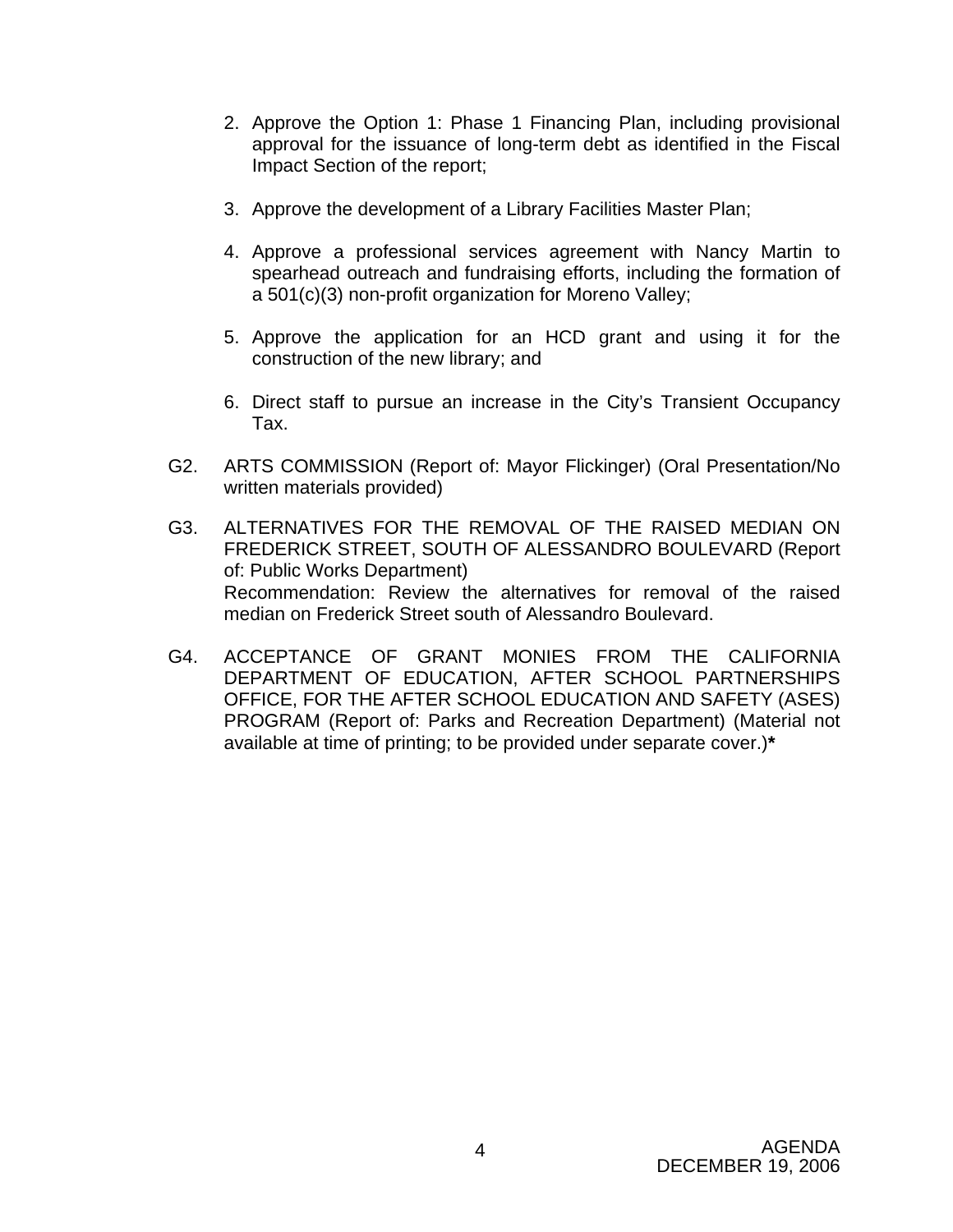- 2. Approve the Option 1: Phase 1 Financing Plan, including provisional approval for the issuance of long-term debt as identified in the Fiscal Impact Section of the report;
- 3. Approve the development of a Library Facilities Master Plan;
- 4. Approve a professional services agreement with Nancy Martin to spearhead outreach and fundraising efforts, including the formation of a 501(c)(3) non-profit organization for Moreno Valley;
- 5. Approve the application for an HCD grant and using it for the construction of the new library; and
- 6. Direct staff to pursue an increase in the City's Transient Occupancy Tax.
- G2. ARTS COMMISSION (Report of: Mayor Flickinger) (Oral Presentation/No written materials provided)
- G3. ALTERNATIVES FOR THE REMOVAL OF THE RAISED MEDIAN ON FREDERICK STREET, SOUTH OF ALESSANDRO BOULEVARD (Report of: Public Works Department) Recommendation: Review the alternatives for removal of the raised median on Frederick Street south of Alessandro Boulevard.
- G4. ACCEPTANCE OF GRANT MONIES FROM THE CALIFORNIA DEPARTMENT OF EDUCATION, AFTER SCHOOL PARTNERSHIPS OFFICE, FOR THE AFTER SCHOOL EDUCATION AND SAFETY (ASES) PROGRAM (Report of: Parks and Recreation Department) (Material not available at time of printing; to be provided under separate cover.)**\***